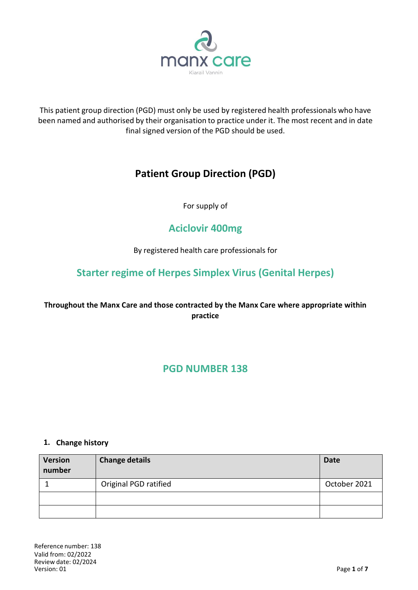

This patient group direction (PGD) must only be used by registered health professionals who have been named and authorised by their organisation to practice under it. The most recent and in date final signed version of the PGD should be used.

# **Patient Group Direction (PGD)**

For supply of

# **Aciclovir 400mg**

By registered health care professionals for

# **Starter regime of Herpes Simplex Virus (Genital Herpes)**

## **Throughout the Manx Care and those contracted by the Manx Care where appropriate within practice**

## **PGD NUMBER 138**

#### **1. Change history**

| <b>Version</b><br>number | <b>Change details</b> | <b>Date</b>  |
|--------------------------|-----------------------|--------------|
|                          | Original PGD ratified | October 2021 |
|                          |                       |              |
|                          |                       |              |

Reference number: 138 Valid from: 02/2022 Review date: 02/2024  $V$ ersion: 01 **Page 1** of **7**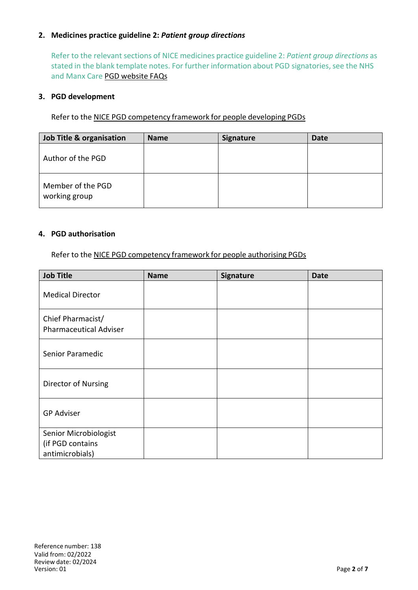#### **2. Medicines practice guideline 2:** *Patient group directions*

Refer to the relevant sections of NICE medicines practice guideline 2: *Patient group directions* as stated in the blank template notes. For further information about PGD signatories, see the NHS and Manx Care PGD [website](http://www.medicinesresources.nhs.uk/en/Communities/NHS/PGDs/FAQs/Questions-about-signatories-of-PGDs2) FAQs

#### **3. PGD development**

Refer to the NICE PGD [competency](http://www.nice.org.uk/guidance/mpg2/resources/mpg2-patient-group-directions3) framework for people developing PGDs

| Job Title & organisation           | <b>Name</b> | <b>Signature</b> | <b>Date</b> |
|------------------------------------|-------------|------------------|-------------|
| Author of the PGD                  |             |                  |             |
| Member of the PGD<br>working group |             |                  |             |

#### **4. PGD authorisation**

Refer to the NICE PGD [competency](http://www.nice.org.uk/guidance/mpg2/resources/mpg2-patient-group-directions5) framework for people authorising PGDs

| <b>Job Title</b>                                   | <b>Name</b> | Signature | <b>Date</b> |
|----------------------------------------------------|-------------|-----------|-------------|
| <b>Medical Director</b>                            |             |           |             |
| Chief Pharmacist/<br><b>Pharmaceutical Adviser</b> |             |           |             |
| Senior Paramedic                                   |             |           |             |
| Director of Nursing                                |             |           |             |
| <b>GP Adviser</b>                                  |             |           |             |
| Senior Microbiologist<br>(if PGD contains          |             |           |             |
| antimicrobials)                                    |             |           |             |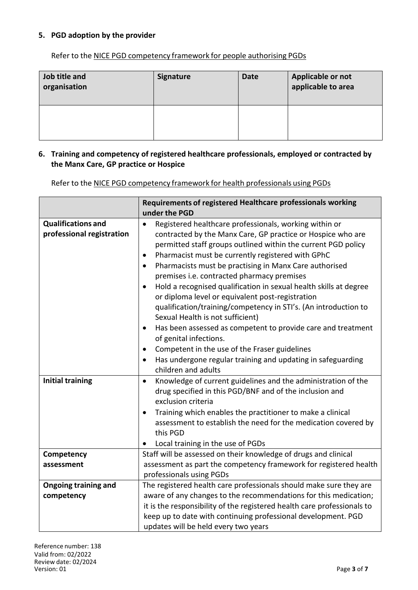#### **5. PGD adoption by the provider**

Refer to the NICE PGD [competency](http://www.nice.org.uk/guidance/mpg2/resources/mpg2-patient-group-directions5) framework for people authorising PGDs

| Job title and<br>organisation | <b>Signature</b> | <b>Date</b> | Applicable or not<br>applicable to area |
|-------------------------------|------------------|-------------|-----------------------------------------|
|                               |                  |             |                                         |

#### **6. Training and competency of registered healthcare professionals, employed or contracted by the Manx Care, GP practice or Hospice**

Refer to the NICE PGD competency framework for health professionals using PGDs

|                                                        | Requirements of registered Healthcare professionals working                                                                                                                                         |  |  |
|--------------------------------------------------------|-----------------------------------------------------------------------------------------------------------------------------------------------------------------------------------------------------|--|--|
|                                                        | under the PGD                                                                                                                                                                                       |  |  |
| <b>Qualifications and</b><br>professional registration | Registered healthcare professionals, working within or<br>$\bullet$<br>contracted by the Manx Care, GP practice or Hospice who are<br>permitted staff groups outlined within the current PGD policy |  |  |
|                                                        | Pharmacist must be currently registered with GPhC<br>$\bullet$                                                                                                                                      |  |  |
|                                                        | Pharmacists must be practising in Manx Care authorised<br>$\bullet$                                                                                                                                 |  |  |
|                                                        | premises i.e. contracted pharmacy premises                                                                                                                                                          |  |  |
|                                                        | Hold a recognised qualification in sexual health skills at degree                                                                                                                                   |  |  |
|                                                        | or diploma level or equivalent post-registration                                                                                                                                                    |  |  |
|                                                        | qualification/training/competency in STI's. (An introduction to<br>Sexual Health is not sufficient)                                                                                                 |  |  |
|                                                        | Has been assessed as competent to provide care and treatment                                                                                                                                        |  |  |
|                                                        | of genital infections.                                                                                                                                                                              |  |  |
|                                                        | Competent in the use of the Fraser guidelines<br>٠                                                                                                                                                  |  |  |
|                                                        | Has undergone regular training and updating in safeguarding<br>$\bullet$                                                                                                                            |  |  |
|                                                        | children and adults                                                                                                                                                                                 |  |  |
| <b>Initial training</b>                                | Knowledge of current guidelines and the administration of the<br>$\bullet$                                                                                                                          |  |  |
|                                                        | drug specified in this PGD/BNF and of the inclusion and                                                                                                                                             |  |  |
|                                                        | exclusion criteria                                                                                                                                                                                  |  |  |
|                                                        | Training which enables the practitioner to make a clinical                                                                                                                                          |  |  |
|                                                        | assessment to establish the need for the medication covered by<br>this PGD                                                                                                                          |  |  |
|                                                        | Local training in the use of PGDs<br>$\bullet$                                                                                                                                                      |  |  |
| Competency                                             | Staff will be assessed on their knowledge of drugs and clinical                                                                                                                                     |  |  |
| assessment                                             | assessment as part the competency framework for registered health                                                                                                                                   |  |  |
|                                                        | professionals using PGDs                                                                                                                                                                            |  |  |
| <b>Ongoing training and</b>                            | The registered health care professionals should make sure they are                                                                                                                                  |  |  |
| competency                                             | aware of any changes to the recommendations for this medication;                                                                                                                                    |  |  |
|                                                        | it is the responsibility of the registered health care professionals to                                                                                                                             |  |  |
|                                                        | keep up to date with continuing professional development. PGD                                                                                                                                       |  |  |
|                                                        | updates will be held every two years                                                                                                                                                                |  |  |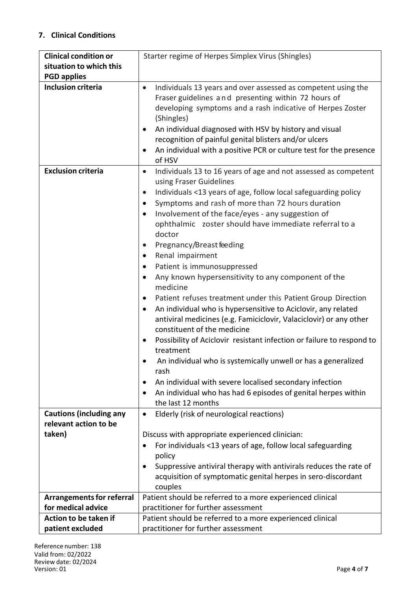### **7. Clinical Conditions**

| <b>Clinical condition or</b>     | Starter regime of Herpes Simplex Virus (Shingles)                                                 |  |  |
|----------------------------------|---------------------------------------------------------------------------------------------------|--|--|
| situation to which this          |                                                                                                   |  |  |
| <b>PGD applies</b>               |                                                                                                   |  |  |
| <b>Inclusion criteria</b>        | Individuals 13 years and over assessed as competent using the<br>$\bullet$                        |  |  |
|                                  | Fraser guidelines and presenting within 72 hours of                                               |  |  |
|                                  | developing symptoms and a rash indicative of Herpes Zoster                                        |  |  |
|                                  | (Shingles)                                                                                        |  |  |
|                                  | An individual diagnosed with HSV by history and visual                                            |  |  |
|                                  | recognition of painful genital blisters and/or ulcers                                             |  |  |
|                                  | An individual with a positive PCR or culture test for the presence                                |  |  |
|                                  | of HSV                                                                                            |  |  |
| <b>Exclusion criteria</b>        | Individuals 13 to 16 years of age and not assessed as competent<br>$\bullet$                      |  |  |
|                                  | using Fraser Guidelines                                                                           |  |  |
|                                  | Individuals <13 years of age, follow local safeguarding policy<br>$\bullet$                       |  |  |
|                                  | Symptoms and rash of more than 72 hours duration<br>٠                                             |  |  |
|                                  | Involvement of the face/eyes - any suggestion of<br>$\bullet$                                     |  |  |
|                                  | ophthalmic zoster should have immediate referral to a                                             |  |  |
|                                  | doctor                                                                                            |  |  |
|                                  | Pregnancy/Breast feeding<br>$\bullet$                                                             |  |  |
|                                  | Renal impairment<br>$\bullet$                                                                     |  |  |
|                                  | Patient is immunosuppressed<br>٠                                                                  |  |  |
|                                  | Any known hypersensitivity to any component of the                                                |  |  |
|                                  | medicine                                                                                          |  |  |
|                                  |                                                                                                   |  |  |
|                                  | Patient refuses treatment under this Patient Group Direction<br>$\bullet$                         |  |  |
|                                  | An individual who is hypersensitive to Aciclovir, any related<br>٠                                |  |  |
|                                  | antiviral medicines (e.g. Famiciclovir, Valaciclovir) or any other<br>constituent of the medicine |  |  |
|                                  |                                                                                                   |  |  |
|                                  | Possibility of Aciclovir resistant infection or failure to respond to                             |  |  |
|                                  | treatment                                                                                         |  |  |
|                                  | An individual who is systemically unwell or has a generalized<br>rash                             |  |  |
|                                  | An individual with severe localised secondary infection                                           |  |  |
|                                  | An individual who has had 6 episodes of genital herpes within<br>٠                                |  |  |
|                                  | the last 12 months                                                                                |  |  |
| <b>Cautions (including any</b>   | Elderly (risk of neurological reactions)<br>$\bullet$                                             |  |  |
| relevant action to be            |                                                                                                   |  |  |
| taken)                           | Discuss with appropriate experienced clinician:                                                   |  |  |
|                                  | For individuals <13 years of age, follow local safeguarding                                       |  |  |
|                                  | policy                                                                                            |  |  |
|                                  | Suppressive antiviral therapy with antivirals reduces the rate of                                 |  |  |
|                                  | acquisition of symptomatic genital herpes in sero-discordant                                      |  |  |
|                                  | couples                                                                                           |  |  |
| <b>Arrangements for referral</b> | Patient should be referred to a more experienced clinical                                         |  |  |
| for medical advice               | practitioner for further assessment                                                               |  |  |
| Action to be taken if            | Patient should be referred to a more experienced clinical                                         |  |  |
| patient excluded                 | practitioner for further assessment                                                               |  |  |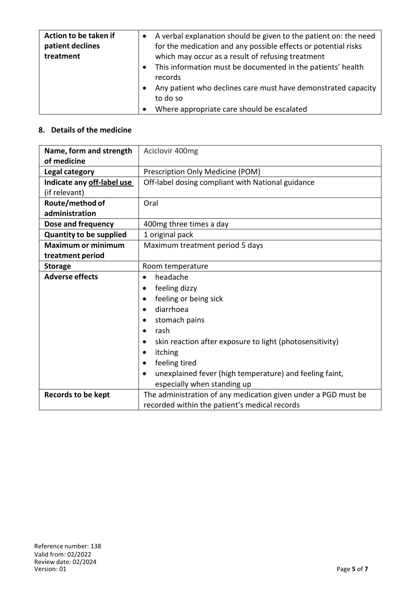| Action to be taken if<br>patient declines<br>treatment | A verbal explanation should be given to the patient on: the need<br>for the medication and any possible effects or potential risks<br>which may occur as a result of refusing treatment |
|--------------------------------------------------------|-----------------------------------------------------------------------------------------------------------------------------------------------------------------------------------------|
|                                                        | This information must be documented in the patients' health<br>records                                                                                                                  |
|                                                        | Any patient who declines care must have demonstrated capacity<br>to do so                                                                                                               |
|                                                        | Where appropriate care should be escalated                                                                                                                                              |

## **8. Details of the medicine**

| Name, form and strength        | Aciclovir 400mg                                                      |  |  |
|--------------------------------|----------------------------------------------------------------------|--|--|
| of medicine                    |                                                                      |  |  |
| Legal category                 | Prescription Only Medicine (POM)                                     |  |  |
| Indicate any off-label use     | Off-label dosing compliant with National guidance                    |  |  |
| (if relevant)                  |                                                                      |  |  |
| Route/method of                | Oral                                                                 |  |  |
| administration                 |                                                                      |  |  |
| Dose and frequency             | 400mg three times a day                                              |  |  |
| <b>Quantity to be supplied</b> | 1 original pack                                                      |  |  |
| <b>Maximum or minimum</b>      | Maximum treatment period 5 days                                      |  |  |
| treatment period               |                                                                      |  |  |
| <b>Storage</b>                 | Room temperature                                                     |  |  |
| <b>Adverse effects</b>         | headache<br>$\bullet$                                                |  |  |
|                                | feeling dizzy                                                        |  |  |
|                                | feeling or being sick<br>$\bullet$                                   |  |  |
|                                | diarrhoea<br>٠                                                       |  |  |
|                                | stomach pains                                                        |  |  |
|                                | rash<br>$\bullet$                                                    |  |  |
|                                | skin reaction after exposure to light (photosensitivity)             |  |  |
|                                | itching<br>٠                                                         |  |  |
|                                | feeling tired                                                        |  |  |
|                                | unexplained fever (high temperature) and feeling faint,<br>$\bullet$ |  |  |
|                                | especially when standing up                                          |  |  |
| <b>Records to be kept</b>      | The administration of any medication given under a PGD must be       |  |  |
|                                | recorded within the patient's medical records                        |  |  |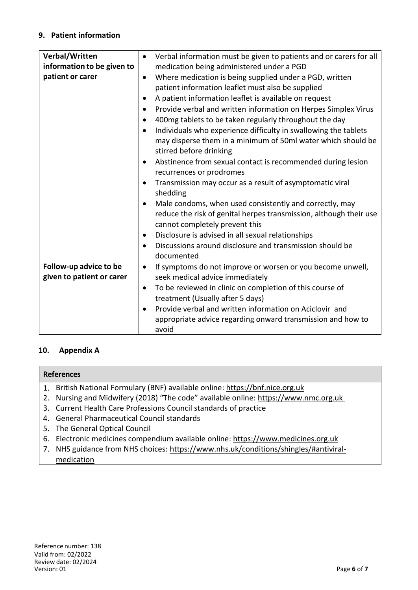#### **9. Patient information**

| Verbal/Written             | $\bullet$ | Verbal information must be given to patients and or carers for all |
|----------------------------|-----------|--------------------------------------------------------------------|
| information to be given to |           | medication being administered under a PGD                          |
| patient or carer           | $\bullet$ | Where medication is being supplied under a PGD, written            |
|                            |           | patient information leaflet must also be supplied                  |
|                            |           | A patient information leaflet is available on request              |
|                            | $\bullet$ | Provide verbal and written information on Herpes Simplex Virus     |
|                            | $\bullet$ | 400 mg tablets to be taken regularly throughout the day            |
|                            |           | Individuals who experience difficulty in swallowing the tablets    |
|                            |           | may disperse them in a minimum of 50ml water which should be       |
|                            |           | stirred before drinking                                            |
|                            |           | Abstinence from sexual contact is recommended during lesion        |
|                            |           | recurrences or prodromes                                           |
|                            |           | Transmission may occur as a result of asymptomatic viral           |
|                            |           | shedding                                                           |
|                            |           | Male condoms, when used consistently and correctly, may            |
|                            |           | reduce the risk of genital herpes transmission, although their use |
|                            |           | cannot completely prevent this                                     |
|                            | ٠         | Disclosure is advised in all sexual relationships                  |
|                            | $\bullet$ | Discussions around disclosure and transmission should be           |
|                            |           | documented                                                         |
| Follow-up advice to be     | $\bullet$ | If symptoms do not improve or worsen or you become unwell,         |
| given to patient or carer  |           | seek medical advice immediately                                    |
|                            | $\bullet$ | To be reviewed in clinic on completion of this course of           |
|                            |           | treatment (Usually after 5 days)                                   |
|                            |           | Provide verbal and written information on Aciclovir and            |
|                            |           | appropriate advice regarding onward transmission and how to        |
|                            |           | avoid                                                              |

#### **10. Appendix A**

#### **References**

- 1. British National Formulary (BNF) available online: https://bnf.nice.org.uk
- 2. Nursing and Midwifery (2018) "The code" available online: https://www.nmc.org.uk
- 3. Current Health Care Professions Council standards of practice
- 4. General Pharmaceutical Council standards
- 5. The General Optical Council
- 6. Electronic medicines compendium available online: https://www.medicines.org.uk
- 7. NHS guidance from NHS choices: https://www.nhs.uk/conditions/shingles/#antiviralmedication